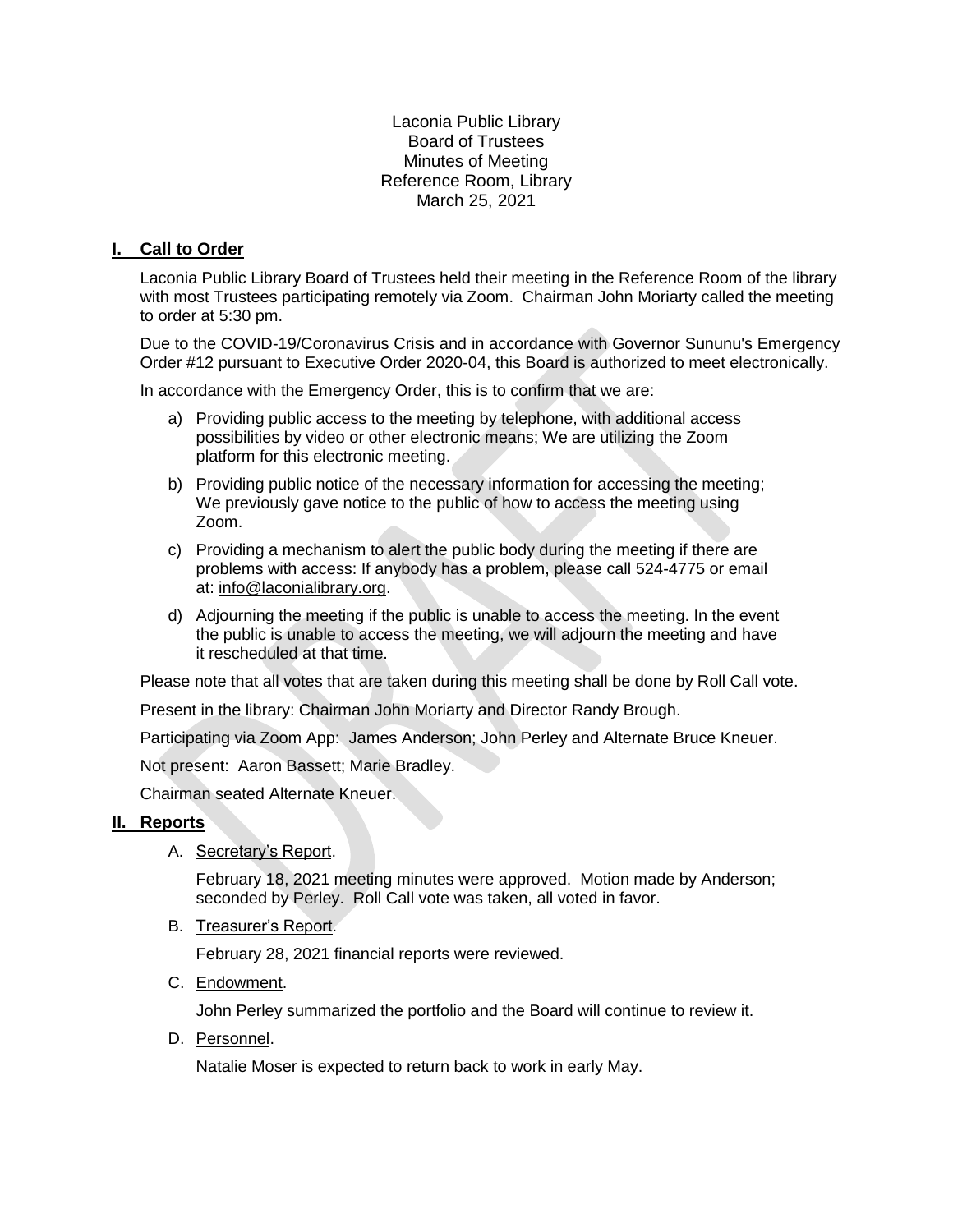Laconia Public Library Board of Trustees Minutes of Meeting Reference Room, Library March 25, 2021

## **I. Call to Order**

Laconia Public Library Board of Trustees held their meeting in the Reference Room of the library with most Trustees participating remotely via Zoom. Chairman John Moriarty called the meeting to order at 5:30 pm.

Due to the COVID-19/Coronavirus Crisis and in accordance with Governor Sununu's Emergency Order #12 pursuant to Executive Order 2020-04, this Board is authorized to meet electronically.

In accordance with the Emergency Order, this is to confirm that we are:

- a) Providing public access to the meeting by telephone, with additional access possibilities by video or other electronic means; We are utilizing the Zoom platform for this electronic meeting.
- b) Providing public notice of the necessary information for accessing the meeting; We previously gave notice to the public of how to access the meeting using Zoom.
- c) Providing a mechanism to alert the public body during the meeting if there are problems with access: If anybody has a problem, please call 524-4775 or email at: [info@laconialibrary.org.](mailto:info@laconialibrary.org)
- d) Adjourning the meeting if the public is unable to access the meeting. In the event the public is unable to access the meeting, we will adjourn the meeting and have it rescheduled at that time.

Please note that all votes that are taken during this meeting shall be done by Roll Call vote.

Present in the library: Chairman John Moriarty and Director Randy Brough.

Participating via Zoom App: James Anderson; John Perley and Alternate Bruce Kneuer.

Not present: Aaron Bassett; Marie Bradley.

Chairman seated Alternate Kneuer.

#### **II. Reports**

A. Secretary's Report.

February 18, 2021 meeting minutes were approved. Motion made by Anderson; seconded by Perley. Roll Call vote was taken, all voted in favor.

B. Treasurer's Report.

February 28, 2021 financial reports were reviewed.

C. Endowment.

John Perley summarized the portfolio and the Board will continue to review it.

D. Personnel.

Natalie Moser is expected to return back to work in early May.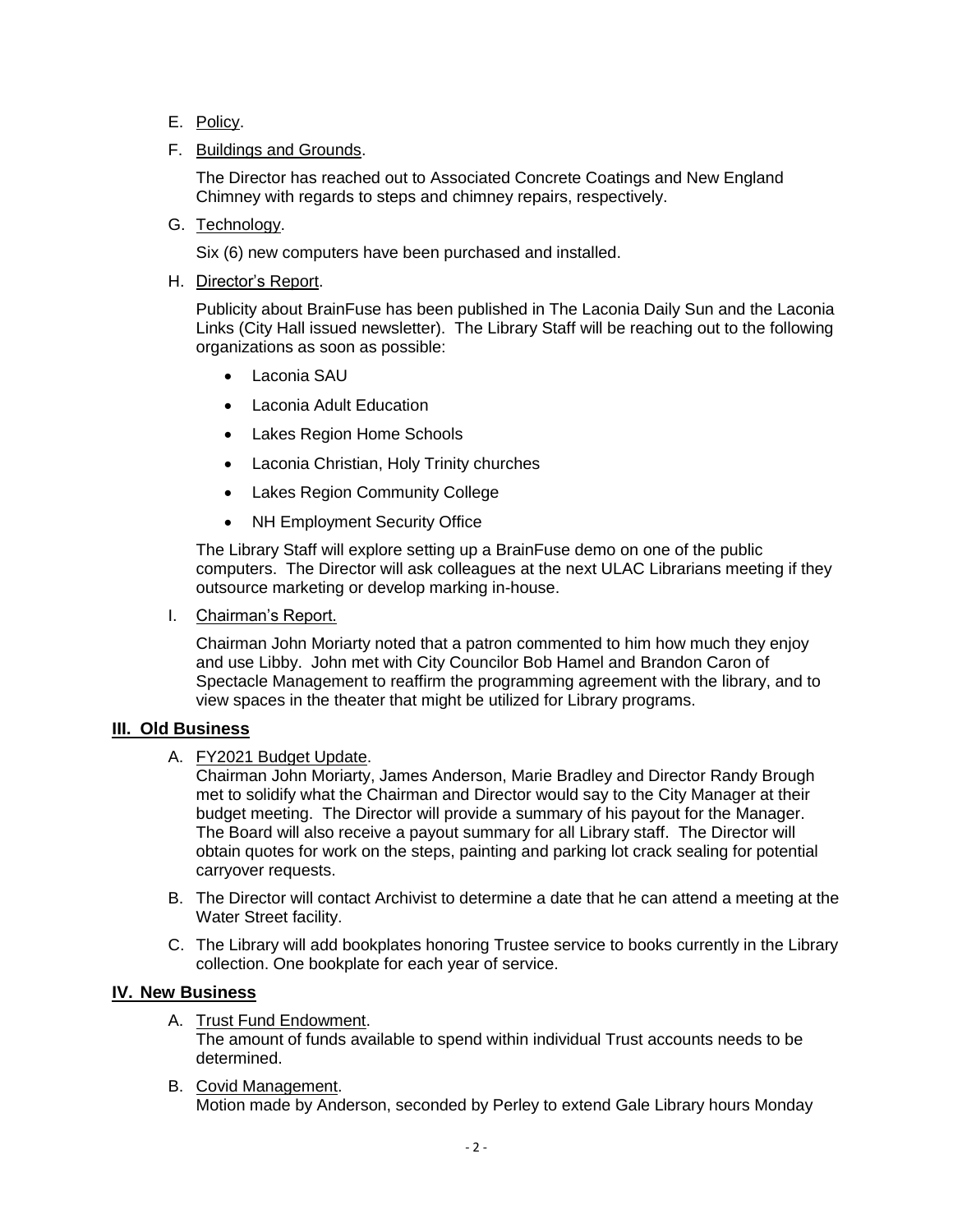- E. Policy.
- F. Buildings and Grounds.

The Director has reached out to Associated Concrete Coatings and New England Chimney with regards to steps and chimney repairs, respectively.

G. Technology.

Six (6) new computers have been purchased and installed.

H. Director's Report.

Publicity about BrainFuse has been published in The Laconia Daily Sun and the Laconia Links (City Hall issued newsletter). The Library Staff will be reaching out to the following organizations as soon as possible:

- Laconia SAU
- Laconia Adult Education
- Lakes Region Home Schools
- Laconia Christian, Holy Trinity churches
- Lakes Region Community College
- NH Employment Security Office

The Library Staff will explore setting up a BrainFuse demo on one of the public computers. The Director will ask colleagues at the next ULAC Librarians meeting if they outsource marketing or develop marking in-house.

I. Chairman's Report.

Chairman John Moriarty noted that a patron commented to him how much they enjoy and use Libby. John met with City Councilor Bob Hamel and Brandon Caron of Spectacle Management to reaffirm the programming agreement with the library, and to view spaces in the theater that might be utilized for Library programs.

#### **III. Old Business**

A. FY2021 Budget Update.

Chairman John Moriarty, James Anderson, Marie Bradley and Director Randy Brough met to solidify what the Chairman and Director would say to the City Manager at their budget meeting. The Director will provide a summary of his payout for the Manager. The Board will also receive a payout summary for all Library staff. The Director will obtain quotes for work on the steps, painting and parking lot crack sealing for potential carryover requests.

- B. The Director will contact Archivist to determine a date that he can attend a meeting at the Water Street facility.
- C. The Library will add bookplates honoring Trustee service to books currently in the Library collection. One bookplate for each year of service.

# **IV. New Business**

- A. Trust Fund Endowment. The amount of funds available to spend within individual Trust accounts needs to be determined.
- B. Covid Management. Motion made by Anderson, seconded by Perley to extend Gale Library hours Monday